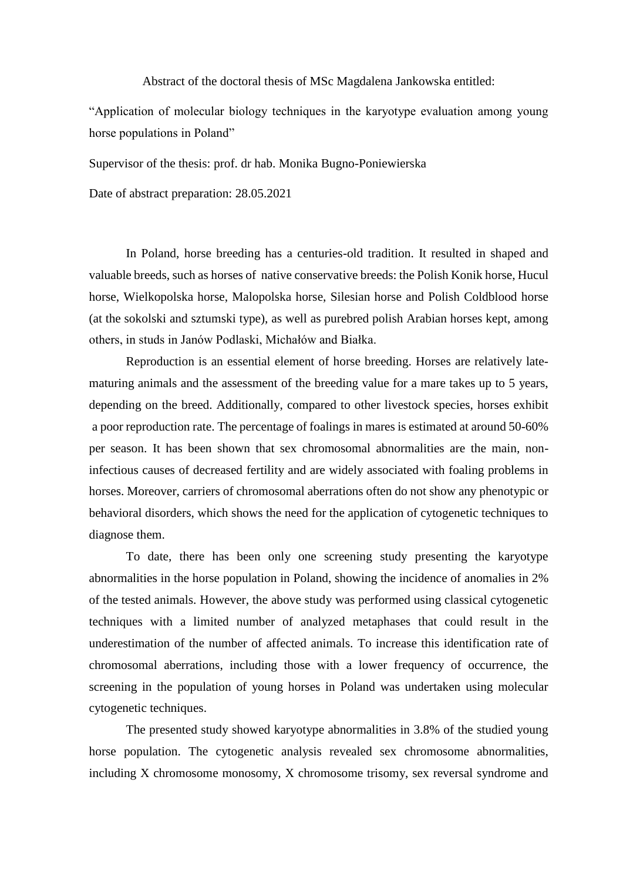Abstract of the doctoral thesis of MSc Magdalena Jankowska entitled:

"Application of molecular biology techniques in the karyotype evaluation among young horse populations in Poland"

Supervisor of the thesis: prof. dr hab. Monika Bugno-Poniewierska

Date of abstract preparation: 28.05.2021

In Poland, horse breeding has a centuries-old tradition. It resulted in shaped and valuable breeds, such as horses of native conservative breeds: the Polish Konik horse, Hucul horse, Wielkopolska horse, Malopolska horse, Silesian horse and Polish Coldblood horse (at the sokolski and sztumski type), as well as purebred polish Arabian horses kept, among others, in studs in Janów Podlaski, Michałów and Białka.

Reproduction is an essential element of horse breeding. Horses are relatively latematuring animals and the assessment of the breeding value for a mare takes up to 5 years, depending on the breed. Additionally, compared to other livestock species, horses exhibit a poor reproduction rate. The percentage of foalings in mares is estimated at around 50-60% per season. It has been shown that sex chromosomal abnormalities are the main, noninfectious causes of decreased fertility and are widely associated with foaling problems in horses. Moreover, carriers of chromosomal aberrations often do not show any phenotypic or behavioral disorders, which shows the need for the application of cytogenetic techniques to diagnose them.

To date, there has been only one screening study presenting the karyotype abnormalities in the horse population in Poland, showing the incidence of anomalies in 2% of the tested animals. However, the above study was performed using classical cytogenetic techniques with a limited number of analyzed metaphases that could result in the underestimation of the number of affected animals. To increase this identification rate of chromosomal aberrations, including those with a lower frequency of occurrence, the screening in the population of young horses in Poland was undertaken using molecular cytogenetic techniques.

The presented study showed karyotype abnormalities in 3.8% of the studied young horse population. The cytogenetic analysis revealed sex chromosome abnormalities, including X chromosome monosomy, X chromosome trisomy, sex reversal syndrome and